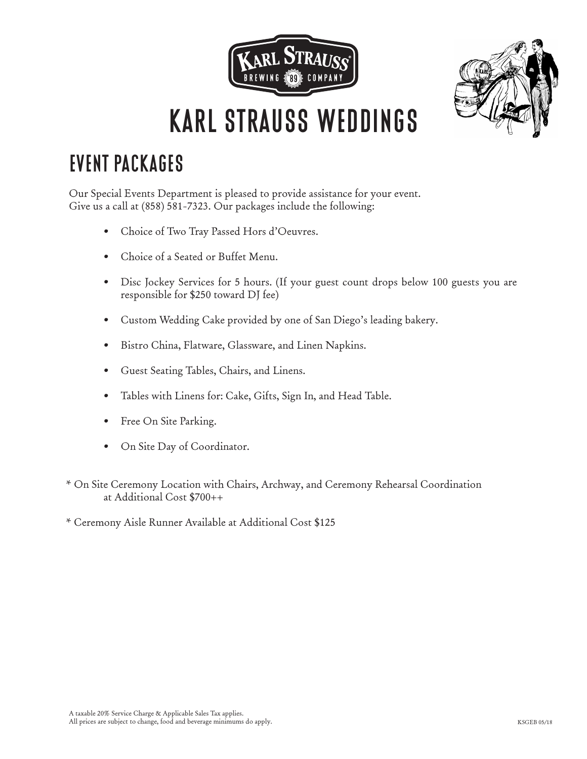



# **EVENT PACKAGES**

Our Special Events Department is pleased to provide assistance for your event. Give us a call at (858) 581-7323. Our packages include the following:

- Choice of Two Tray Passed Hors d'Oeuvres.
- Choice of a Seated or Buffet Menu.
- Disc Jockey Services for 5 hours. (If your guest count drops below 100 guests you are responsible for \$250 toward DJ fee)
- Custom Wedding Cake provided by one of San Diego's leading bakery.
- Bistro China, Flatware, Glassware, and Linen Napkins.
- Guest Seating Tables, Chairs, and Linens.
- Tables with Linens for: Cake, Gifts, Sign In, and Head Table.
- Free On Site Parking.
- On Site Day of Coordinator.
- \* On Site Ceremony Location with Chairs, Archway, and Ceremony Rehearsal Coordination at Additional Cost \$700++
- \* Ceremony Aisle Runner Available at Additional Cost \$125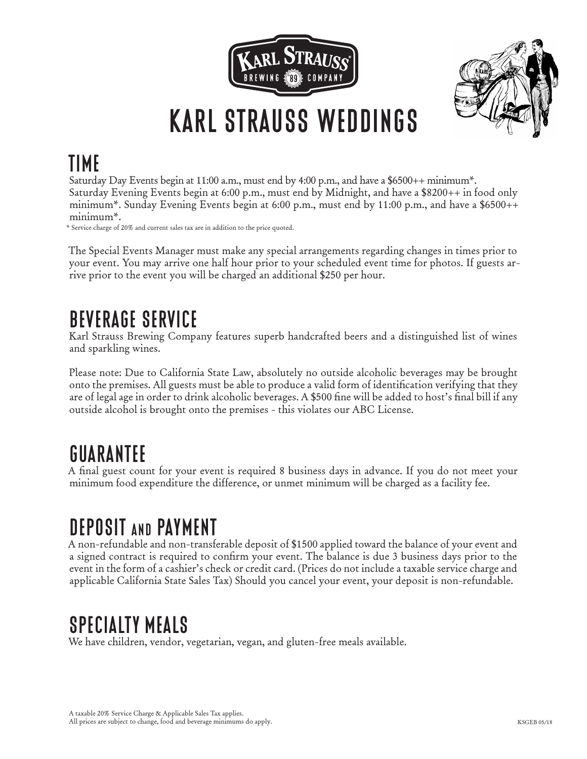



# **TIME**

Saturday Day Events begin at 11:00 a.m., must end by 4:00 p.m., and have a \$6500++ minimum\*. Saturday Evening Events begin at 6:00 p.m., must end by Midnight, and have a \$8200++ in food only minimum\*. Sunday Evening Events begin at 6:00 p.m., must end by 11:00 p.m., and have a \$6500++ minimum\*.

\* Service charge of 20% and current sales tax are in addition to the price quoted.

The Special Events Manager must make any special arrangements regarding changes in times prior to your event. You may arrive one half hour prior to your scheduled event time for photos. If guests arrive prior to the event you will be charged an additional \$250 per hour.

# **BEVERAGE SERVICE**

Karl Strauss Brewing Company features superb handcrafted beers and a distinguished list of wines and sparkling wines.

Please note: Due to California State Law, absolutely no outside alcoholic beverages may be brought onto the premises. All guests must be able to produce a valid form of identification verifying that they are of legal age in order to drink alcoholic beverages. A \$500 fine will be added to host's final bill if any outside alcohol is brought onto the premises - this violates our ABC License.

# **GUARANTEE**

A final guest count for your event is required 8 business days in advance. If you do not meet your minimum food expenditure the difference, or unmet minimum will be charged as a facility fee.

# **DEPOSIT and PAYMENT**

A non-refundable and non-transferable deposit of \$1500 applied toward the balance of your event and a signed contract is required to confirm your event. The balance is due 3 business days prior to the event in the form of a cashier's check or credit card. (Prices do not include a taxable service charge and applicable California State Sales Tax) Should you cancel your event, your deposit is non-refundable.

# **SPECIALTY MEALS**

We have children, vendor, vegetarian, vegan, and gluten-free meals available.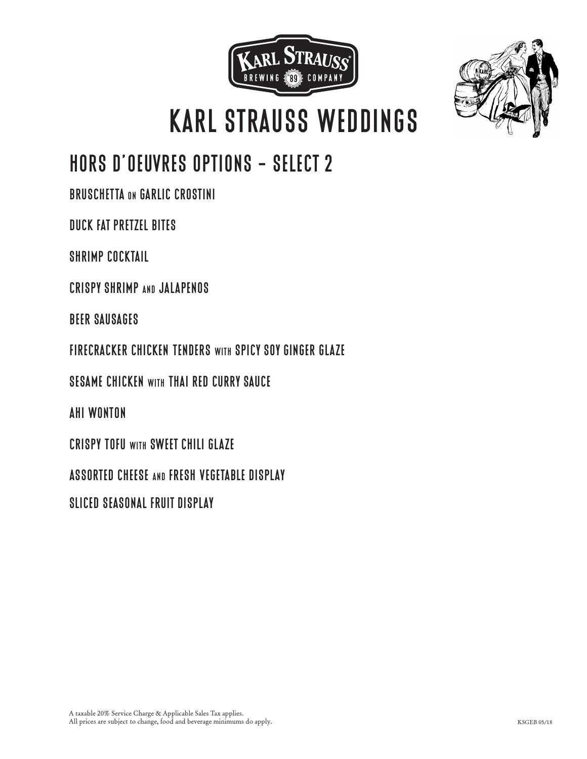



# **HORS D'OEUVRES OPTIONS - SELECT 2**

**BRUSCHETTA on GARLIC CROSTINI**

**DUCK FAT PRETZEL BITES**

**SHRIMP COCKTAIL**

**CRISPY SHRIMP and JALAPENOS**

**BEER SAUSAGES**

**FIRECRACKER CHICKEN TENDERS with SPICY SOY GINGER GLAZE**

**SESAME CHICKEN with THAI RED CURRY SAUCE**

**AHI WONTON**

**CRISPY TOFU with SWEET CHILI GLAZE**

**ASSORTED CHEESE and FRESH VEGETABLE DISPLAY**

**SLICED SEASONAL FRUIT DISPLAY**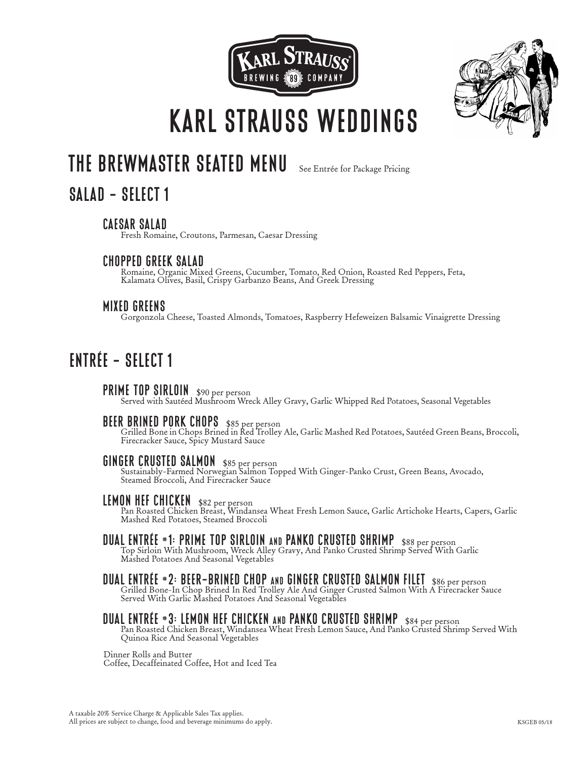



## **THE BREWMASTER SEATED MENU** See Entrée for Package Pricing

## **SALAD - SELECT 1**

**CAESAR SALAD** Fresh Romaine, Croutons, Parmesan, Caesar Dressing

**CHOPPED GREEK SALAD** Romaine, Organic Mixed Greens, Cucumber, Tomato, Red Onion, Roasted Red Peppers, Feta, Kalamata Olives, Basil, Crispy Garbanzo Beans, And Greek Dressing

**MIXED GREENS** Gorgonzola Cheese, Toasted Almonds, Tomatoes, Raspberry Hefeweizen Balsamic Vinaigrette Dressing

## **ENTRÉE - SELECT 1**

**PRIME TOP SIRLOIN** \$90 per person<br>Served with Sautéed Mushroom Wreck Alley Gravy, Garlic Whipped Red Potatoes, Seasonal Vegetables

**BEER BRINED PORK CHOPS** \$85 per person Grilled Bone in Chops Brined in Red Trolley Ale, Garlic Mashed Red Potatoes, Sautéed Green Beans, Broccoli, Firecracker Sauce, Spicy Mustard Sauce

**GINGER CRUSTED SALMON** \$85 per person Sustainably-Farmed Norwegian Salmon Topped With Ginger-Panko Crust, Green Beans, Avocado, Steamed Broccoli, And Firecracker Sauce

**LEMON HEF CHICKEN** \$82 per person Pan Roasted Chicken Breast, Windansea Wheat Fresh Lemon Sauce, Garlic Artichoke Hearts, Capers, Garlic Mashed Red Potatoes, Steamed Broccoli

**DUAL ENTRÉE #1: PRIME TOP SIRLOIN and PANKO CRUSTED SHRIMP** \$88 per person Top Sirloin With Mushroom, Wreck Alley Gravy, And Panko Crusted Shrimp Served With Garlic Mashed Potatoes And Seasonal Vegetables

**DUAL ENTRÉE #2: BEER-BRINED CHOP AND GINGER CRUSTED SALMON FILET** \$86 per person<br>Grilled Bone-In Chop Brined In Red Trolley Ale And Ginger Crusted Salmon With A Firecracker Sauce<br>Served With Garlic Mashed Potatoes And Sea

**DUAL ENTRÉE #3: LEMON HEF CHICKEN AND PANKO CRUSTED SHRIMP** \$84 per person<br>Pan Roasted Chicken Breast, Windansea Wheat Fresh Lemon Sauce, And Panko Crusted Shrimp Served With<br>Quinoa Rice And Seasonal Vegetables

Dinner Rolls and Butter Coffee, Decaffeinated Coffee, Hot and Iced Tea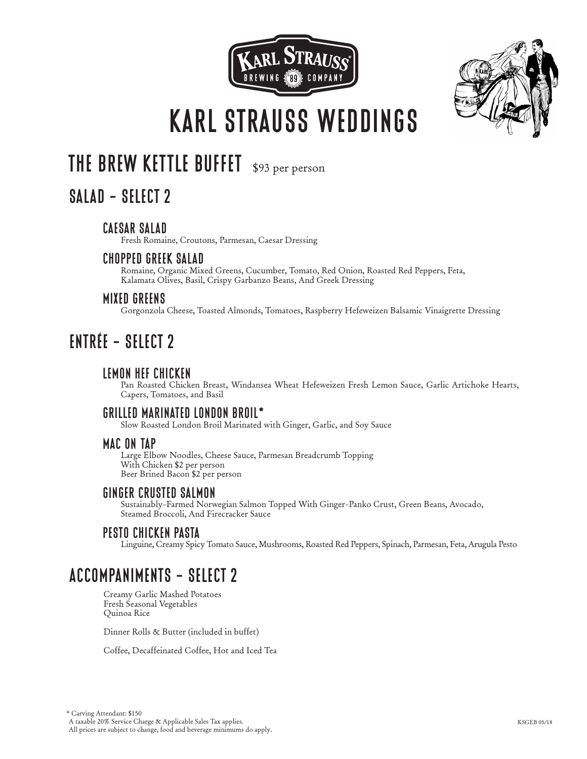



## **THE BREW KETTLE BUFFET** \$93 per person

## **SALAD - SELECT 2**

### **CAESAR SALAD**

Fresh Romaine, Croutons, Parmesan, Caesar Dressing

### **CHOPPED GREEK SALAD**

 Romaine, Organic Mixed Greens, Cucumber, Tomato, Red Onion, Roasted Red Peppers, Feta, Kalamata Olives, Basil, Crispy Garbanzo Beans, And Greek Dressing

#### **MIXED GREENS**

Gorgonzola Cheese, Toasted Almonds, Tomatoes, Raspberry Hefeweizen Balsamic Vinaigrette Dressing

## **ENTRÉE - SELECT 2**

### **LEMON HEF CHICKEN**

 Pan Roasted Chicken Breast, Windansea Wheat Hefeweizen Fresh Lemon Sauce, Garlic Artichoke Hearts, Capers, Tomatoes, and Basil

#### **GRILLED MARINATED LONDON BROIL\***

Slow Roasted London Broil Marinated with Ginger, Garlic, and Soy Sauce

#### **MAC ON TAP**

 Large Elbow Noodles, Cheese Sauce, Parmesan Breadcrumb Topping With Chicken \$2 per person Beer Brined Bacon \$2 per person

### **GINGER CRUSTED SALMON**

 Sustainably-Farmed Norwegian Salmon Topped With Ginger-Panko Crust, Green Beans, Avocado, Steamed Broccoli, And Firecracker Sauce

### **PESTO CHICKEN PASTA**

Linguine, Creamy Spicy Tomato Sauce, Mushrooms, Roasted Red Peppers, Spinach, Parmesan, Feta, Arugula Pesto

## **ACCOMPANIMENTS - SELECT 2**

Creamy Garlic Mashed Potatoes Fresh Seasonal Vegetables Quinoa Rice

Dinner Rolls & Butter (included in buffet)

Coffee, Decaffeinated Coffee, Hot and Iced Tea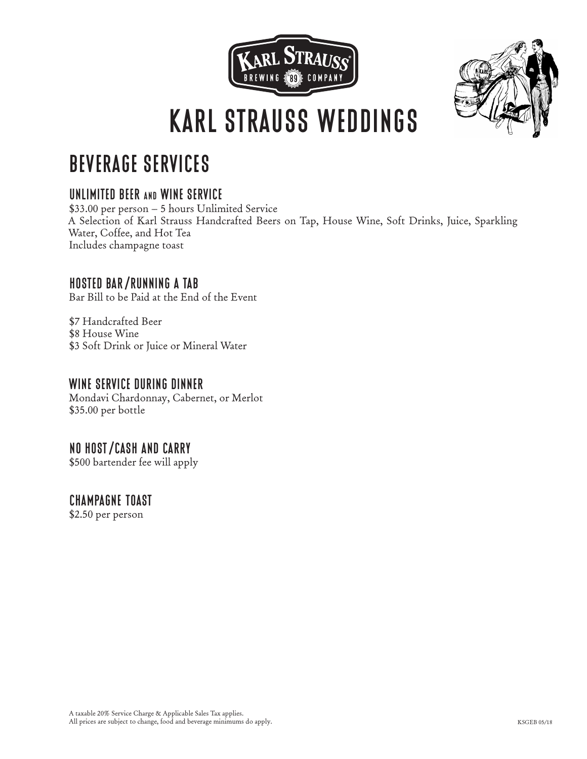



# **BEVERAGE SERVICES**

### **UNLIMITED BEER and WINE SERVICE**

\$33.00 per person – 5 hours Unlimited Service A Selection of Karl Strauss Handcrafted Beers on Tap, House Wine, Soft Drinks, Juice, Sparkling Water, Coffee, and Hot Tea Includes champagne toast

### **HOSTED BAR/RUNNING A TAB**

Bar Bill to be Paid at the End of the Event

\$7 Handcrafted Beer \$8 House Wine \$3 Soft Drink or Juice or Mineral Water

### **WINE SERVICE DURING DINNER**

Mondavi Chardonnay, Cabernet, or Merlot \$35.00 per bottle

### **NO HOST/CASH AND CARRY**

\$500 bartender fee will apply

### **CHAMPAGNE TOAST**

\$2.50 per person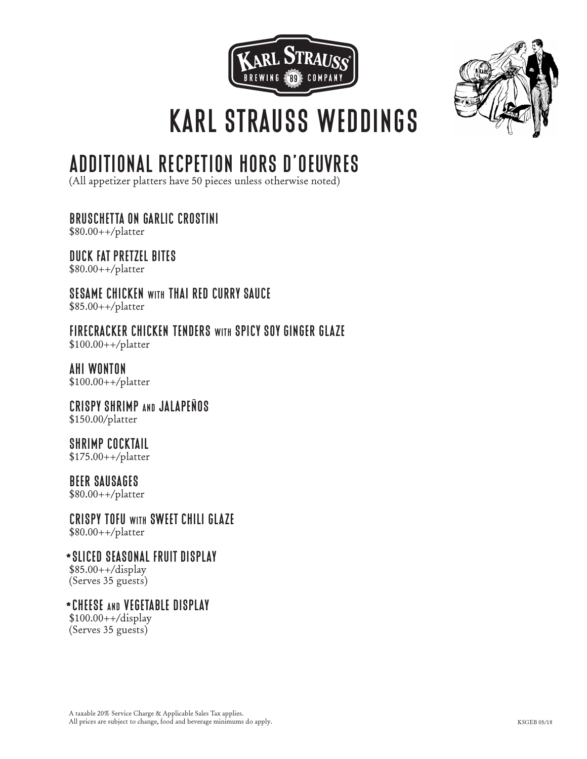



# **ADDITIONAL RECPETION HORS D'OEUVRES**

(All appetizer platters have 50 pieces unless otherwise noted)

**BRUSCHETTA ON GARLIC CROSTINI**

\$80.00++/platter

**DUCK FAT PRETZEL BITES** \$80.00++/platter

**SESAME CHICKEN with THAI RED CURRY SAUCE** \$85.00++/platter

**FIRECRACKER CHICKEN TENDERS with SPICY SOY GINGER GLAZE** \$100.00++/platter

**AHI WONTON** \$100.00++/platter

**CRISPY SHRIMP and JALAPEÑOS** \$150.00/platter

**SHRIMP COCKTAIL** \$175.00++/platter

**BEER SAUSAGES** \$80.00++/platter

**CRISPY TOFU with SWEET CHILI GLAZE** \$80.00++/platter

**\*SLICED SEASONAL FRUIT DISPLAY** \$85.00++/display (Serves 35 guests)

**\*CHEESE and VEGETABLE DISPLAY**  $$100.00++/display$ (Serves 35 guests)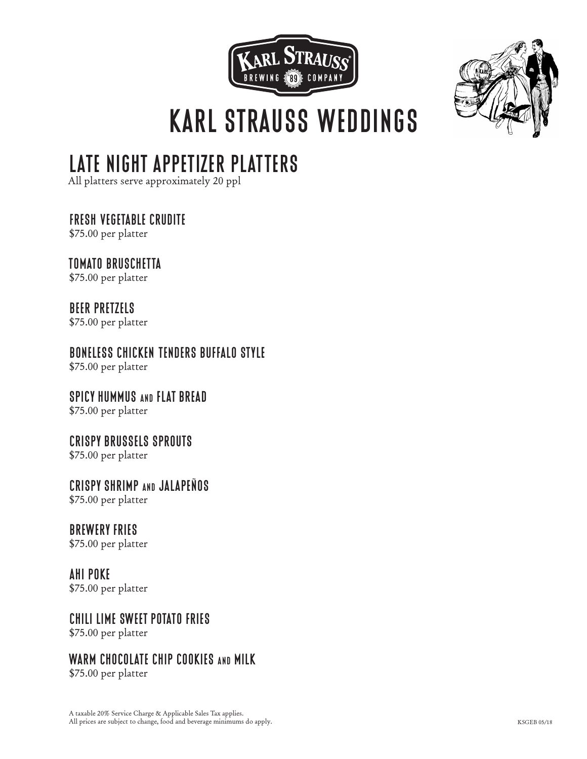



# **LATE NIGHT APPETIZER PLATTERS**

All platters serve approximately 20 ppl

**FRESH VEGETABLE CRUDITE**

\$75.00 per platter

**TOMATO BRUSCHETTA**

\$75.00 per platter

**BEER PRETZELS** \$75.00 per platter

**BONELESS CHICKEN TENDERS BUFFALO STYLE** \$75.00 per platter

**SPICY HUMMUS and FLAT BREAD**

\$75.00 per platter

**CRISPY BRUSSELS SPROUTS**

\$75.00 per platter

**CRISPY SHRIMP and JALAPEÑOS** \$75.00 per platter

**BREWERY FRIES** 

\$75.00 per platter

**AHI POKE**

\$75.00 per platter

**CHILI LIME SWEET POTATO FRIES**

\$75.00 per platter

## **WARM CHOCOLATE CHIP COOKIES and MILK**

\$75.00 per platter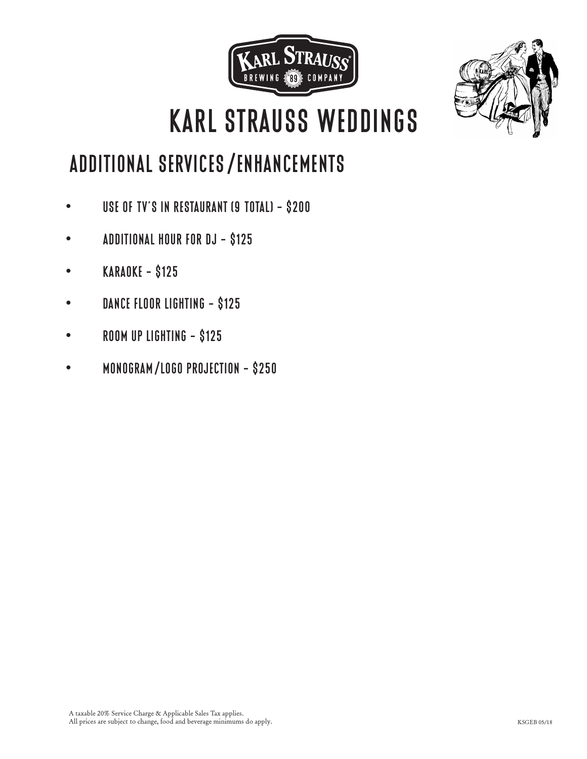



# **ADDITIONAL SERVICES/ENHANCEMENTS**

- **• USE OF TV'S IN RESTAURANT (9 TOTAL) \$200**
- **• ADDITIONAL HOUR FOR DJ \$125**
- **• KARAOKE \$125**
- **• DANCE FLOOR LIGHTING \$125**
- **• ROOM UP LIGHTING \$125**
- **• MONOGRAM/LOGO PROJECTION \$250**